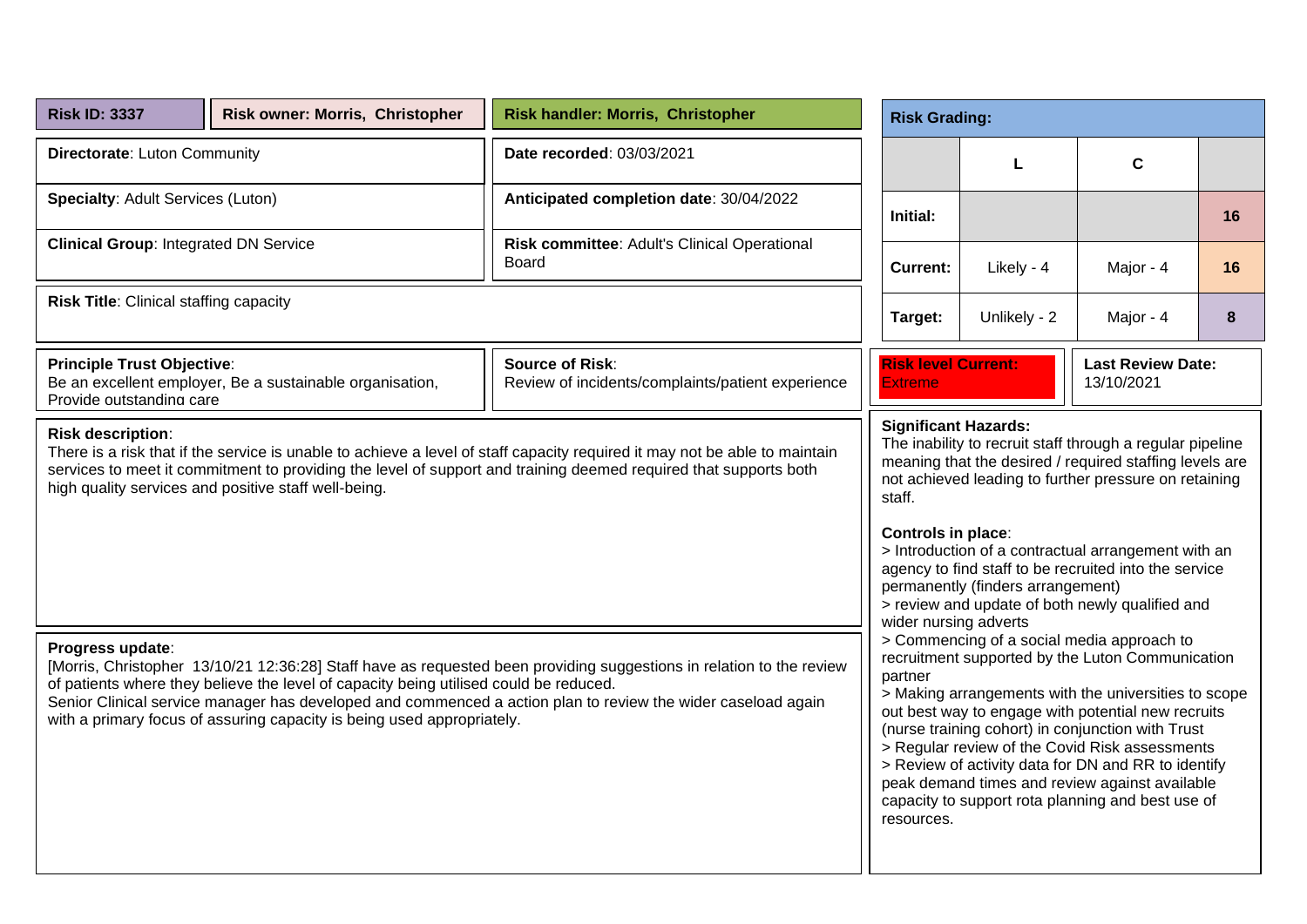| <b>Risk ID: 3337</b>                                                                                                                                                                                                                                                                                                                                                                                                        | Risk owner: Morris, Christopher                          | Risk handler: Morris, Christopher                                           | <b>Risk Grading:</b>                                                                                                                                                                                                                                                                                                                                                                                                                                                                                       |              |                                        |    |  |  |
|-----------------------------------------------------------------------------------------------------------------------------------------------------------------------------------------------------------------------------------------------------------------------------------------------------------------------------------------------------------------------------------------------------------------------------|----------------------------------------------------------|-----------------------------------------------------------------------------|------------------------------------------------------------------------------------------------------------------------------------------------------------------------------------------------------------------------------------------------------------------------------------------------------------------------------------------------------------------------------------------------------------------------------------------------------------------------------------------------------------|--------------|----------------------------------------|----|--|--|
| <b>Directorate: Luton Community</b>                                                                                                                                                                                                                                                                                                                                                                                         |                                                          | Date recorded: 03/03/2021                                                   |                                                                                                                                                                                                                                                                                                                                                                                                                                                                                                            | L            | $\mathbf c$                            |    |  |  |
| <b>Specialty: Adult Services (Luton)</b>                                                                                                                                                                                                                                                                                                                                                                                    |                                                          | Anticipated completion date: 30/04/2022                                     | Initial:                                                                                                                                                                                                                                                                                                                                                                                                                                                                                                   |              |                                        | 16 |  |  |
| <b>Clinical Group: Integrated DN Service</b>                                                                                                                                                                                                                                                                                                                                                                                |                                                          | Risk committee: Adult's Clinical Operational<br>Board                       | <b>Current:</b>                                                                                                                                                                                                                                                                                                                                                                                                                                                                                            | Likely - 4   | Major - 4                              | 16 |  |  |
| Risk Title: Clinical staffing capacity                                                                                                                                                                                                                                                                                                                                                                                      |                                                          |                                                                             | Target:                                                                                                                                                                                                                                                                                                                                                                                                                                                                                                    | Unlikely - 2 | Major - 4                              | 8  |  |  |
| <b>Principle Trust Objective:</b><br>Provide outstanding care                                                                                                                                                                                                                                                                                                                                                               | Be an excellent employer, Be a sustainable organisation, | <b>Source of Risk:</b><br>Review of incidents/complaints/patient experience | <b>Risk level Current:</b><br><b>Extreme</b>                                                                                                                                                                                                                                                                                                                                                                                                                                                               |              | <b>Last Review Date:</b><br>13/10/2021 |    |  |  |
| <b>Risk description:</b><br>There is a risk that if the service is unable to achieve a level of staff capacity required it may not be able to maintain<br>services to meet it commitment to providing the level of support and training deemed required that supports both<br>high quality services and positive staff well-being.                                                                                          |                                                          |                                                                             | <b>Significant Hazards:</b><br>The inability to recruit staff through a regular pipeline<br>meaning that the desired / required staffing levels are<br>not achieved leading to further pressure on retaining<br>staff.<br>Controls in place:<br>> Introduction of a contractual arrangement with an<br>agency to find staff to be recruited into the service<br>permanently (finders arrangement)<br>> review and update of both newly qualified and<br>wider nursing adverts                              |              |                                        |    |  |  |
| Progress update:<br>[Morris, Christopher 13/10/21 12:36:28] Staff have as requested been providing suggestions in relation to the review<br>of patients where they believe the level of capacity being utilised could be reduced.<br>Senior Clinical service manager has developed and commenced a action plan to review the wider caseload again<br>with a primary focus of assuring capacity is being used appropriately. |                                                          |                                                                             | > Commencing of a social media approach to<br>recruitment supported by the Luton Communication<br>partner<br>> Making arrangements with the universities to scope<br>out best way to engage with potential new recruits<br>(nurse training cohort) in conjunction with Trust<br>> Regular review of the Covid Risk assessments<br>> Review of activity data for DN and RR to identify<br>peak demand times and review against available<br>capacity to support rota planning and best use of<br>resources. |              |                                        |    |  |  |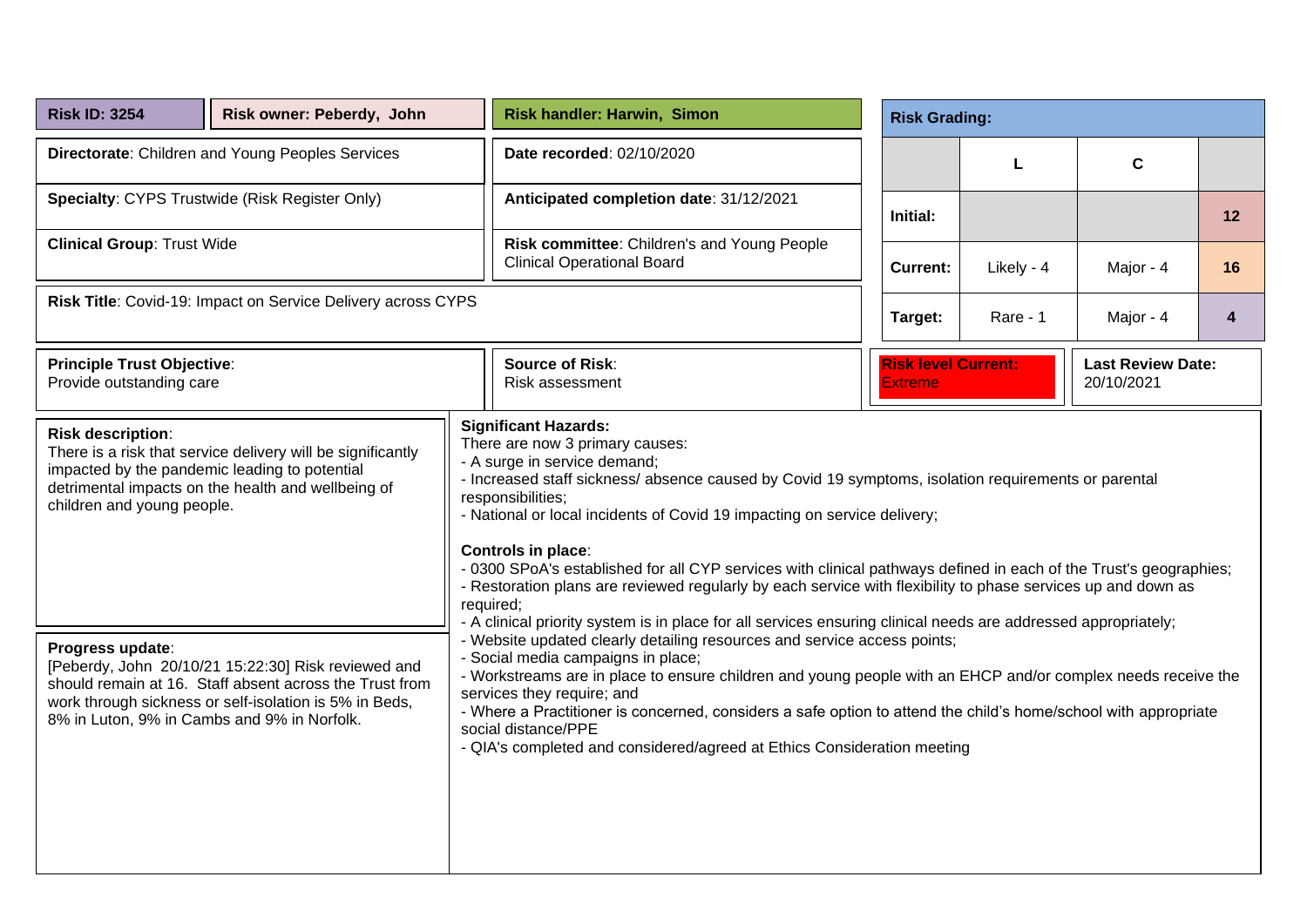| <b>Risk ID: 3254</b>                                                                                                                                                                                                         | Risk owner: Peberdy, John                                                                                                                                                                                                                                                                                                                                                                                                                                                                                                                                                                                                        |                           | Risk handler: Harwin, Simon<br><b>Risk Grading:</b>                                                                                                                                                                                                                                                                                                                                                                                                                                                                                                                                                                                                                                                                                                                          |  |                                              |            |                                        |    |  |  |
|------------------------------------------------------------------------------------------------------------------------------------------------------------------------------------------------------------------------------|----------------------------------------------------------------------------------------------------------------------------------------------------------------------------------------------------------------------------------------------------------------------------------------------------------------------------------------------------------------------------------------------------------------------------------------------------------------------------------------------------------------------------------------------------------------------------------------------------------------------------------|---------------------------|------------------------------------------------------------------------------------------------------------------------------------------------------------------------------------------------------------------------------------------------------------------------------------------------------------------------------------------------------------------------------------------------------------------------------------------------------------------------------------------------------------------------------------------------------------------------------------------------------------------------------------------------------------------------------------------------------------------------------------------------------------------------------|--|----------------------------------------------|------------|----------------------------------------|----|--|--|
| Directorate: Children and Young Peoples Services                                                                                                                                                                             |                                                                                                                                                                                                                                                                                                                                                                                                                                                                                                                                                                                                                                  | Date recorded: 02/10/2020 |                                                                                                                                                                                                                                                                                                                                                                                                                                                                                                                                                                                                                                                                                                                                                                              |  | L                                            | C          |                                        |    |  |  |
| Specialty: CYPS Trustwide (Risk Register Only)                                                                                                                                                                               |                                                                                                                                                                                                                                                                                                                                                                                                                                                                                                                                                                                                                                  |                           | Anticipated completion date: 31/12/2021                                                                                                                                                                                                                                                                                                                                                                                                                                                                                                                                                                                                                                                                                                                                      |  | Initial:                                     |            |                                        | 12 |  |  |
| <b>Clinical Group: Trust Wide</b>                                                                                                                                                                                            |                                                                                                                                                                                                                                                                                                                                                                                                                                                                                                                                                                                                                                  |                           | Risk committee: Children's and Young People<br><b>Clinical Operational Board</b>                                                                                                                                                                                                                                                                                                                                                                                                                                                                                                                                                                                                                                                                                             |  | <b>Current:</b>                              | Likely - 4 | Major - 4                              | 16 |  |  |
| Risk Title: Covid-19: Impact on Service Delivery across CYPS                                                                                                                                                                 |                                                                                                                                                                                                                                                                                                                                                                                                                                                                                                                                                                                                                                  |                           |                                                                                                                                                                                                                                                                                                                                                                                                                                                                                                                                                                                                                                                                                                                                                                              |  | Target:                                      | Rare - 1   | Major - 4                              | 4  |  |  |
| <b>Principle Trust Objective:</b><br>Provide outstanding care                                                                                                                                                                |                                                                                                                                                                                                                                                                                                                                                                                                                                                                                                                                                                                                                                  |                           | <b>Source of Risk:</b><br>Risk assessment                                                                                                                                                                                                                                                                                                                                                                                                                                                                                                                                                                                                                                                                                                                                    |  | <b>Risk level Current:</b><br><b>Extreme</b> |            | <b>Last Review Date:</b><br>20/10/2021 |    |  |  |
| <b>Risk description:</b><br>There is a risk that service delivery will be significantly<br>impacted by the pandemic leading to potential<br>detrimental impacts on the health and wellbeing of<br>children and young people. |                                                                                                                                                                                                                                                                                                                                                                                                                                                                                                                                                                                                                                  |                           | <b>Significant Hazards:</b><br>There are now 3 primary causes:<br>- A surge in service demand;<br>- Increased staff sickness/ absence caused by Covid 19 symptoms, isolation requirements or parental<br>responsibilities;<br>- National or local incidents of Covid 19 impacting on service delivery;<br>Controls in place:<br>- 0300 SPoA's established for all CYP services with clinical pathways defined in each of the Trust's geographies;<br>- Restoration plans are reviewed regularly by each service with flexibility to phase services up and down as<br>required;<br>- A clinical priority system is in place for all services ensuring clinical needs are addressed appropriately;<br>- Website updated clearly detailing resources and service access points; |  |                                              |            |                                        |    |  |  |
| Progress update:                                                                                                                                                                                                             | - Social media campaigns in place;<br>[Peberdy, John 20/10/21 15:22:30] Risk reviewed and<br>- Workstreams are in place to ensure children and young people with an EHCP and/or complex needs receive the<br>should remain at 16. Staff absent across the Trust from<br>services they require; and<br>work through sickness or self-isolation is 5% in Beds,<br>- Where a Practitioner is concerned, considers a safe option to attend the child's home/school with appropriate<br>8% in Luton, 9% in Cambs and 9% in Norfolk.<br>social distance/PPE<br>- QIA's completed and considered/agreed at Ethics Consideration meeting |                           |                                                                                                                                                                                                                                                                                                                                                                                                                                                                                                                                                                                                                                                                                                                                                                              |  |                                              |            |                                        |    |  |  |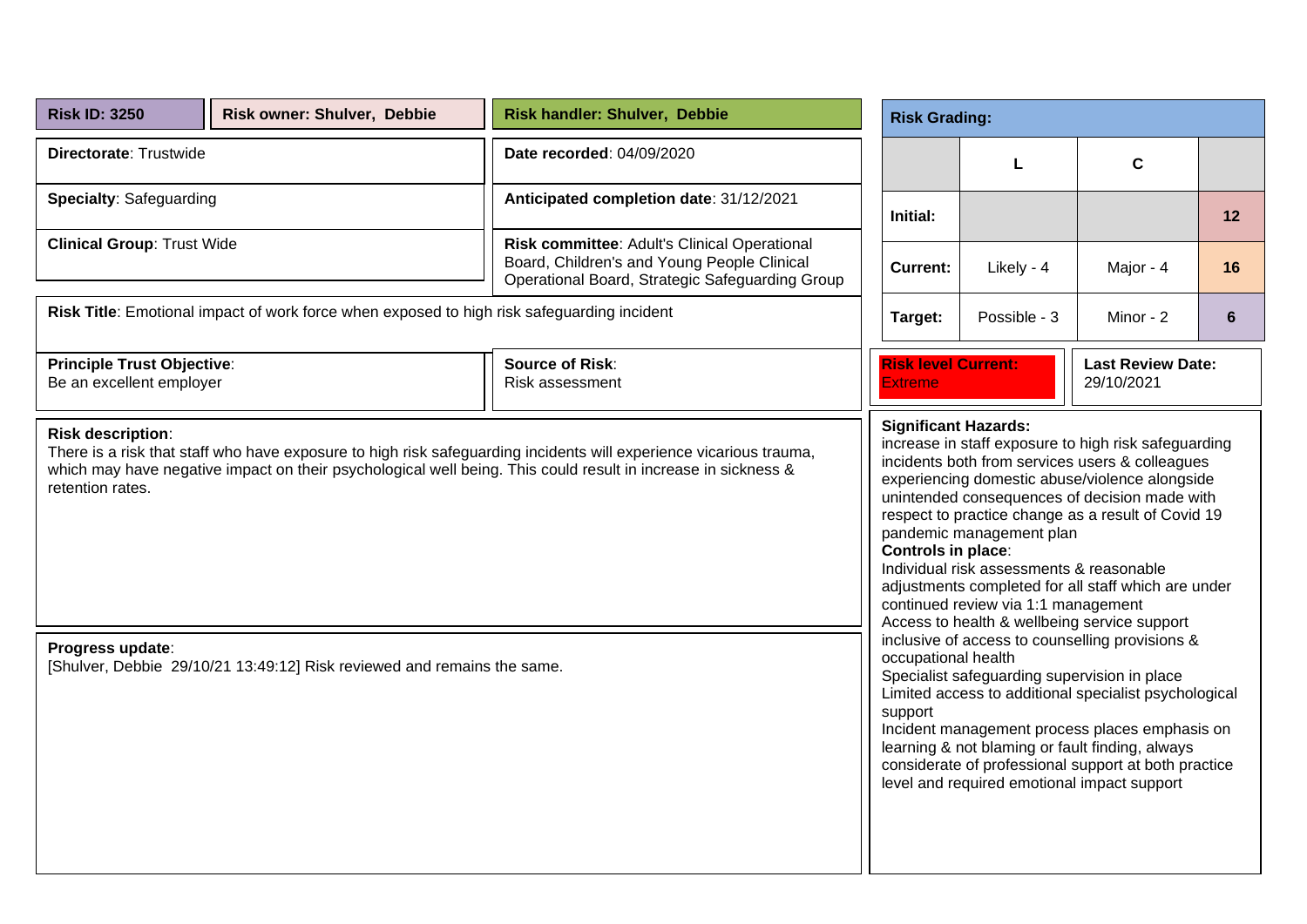| <b>Risk ID: 3250</b>                                                                                                                                                                                                                                                                | Risk owner: Shulver, Debbie                                                                | Risk handler: Shulver, Debbie                                                                                                                  | <b>Risk Grading:</b>                                                                                                                                                                                                                                                                                                                                                                                                                                                                                                                        |              |                                        |    |  |  |  |
|-------------------------------------------------------------------------------------------------------------------------------------------------------------------------------------------------------------------------------------------------------------------------------------|--------------------------------------------------------------------------------------------|------------------------------------------------------------------------------------------------------------------------------------------------|---------------------------------------------------------------------------------------------------------------------------------------------------------------------------------------------------------------------------------------------------------------------------------------------------------------------------------------------------------------------------------------------------------------------------------------------------------------------------------------------------------------------------------------------|--------------|----------------------------------------|----|--|--|--|
| Directorate: Trustwide                                                                                                                                                                                                                                                              |                                                                                            | Date recorded: 04/09/2020                                                                                                                      |                                                                                                                                                                                                                                                                                                                                                                                                                                                                                                                                             | L            | $\mathbf c$                            |    |  |  |  |
| <b>Specialty: Safeguarding</b>                                                                                                                                                                                                                                                      |                                                                                            | Anticipated completion date: 31/12/2021                                                                                                        | Initial:                                                                                                                                                                                                                                                                                                                                                                                                                                                                                                                                    |              |                                        | 12 |  |  |  |
| <b>Clinical Group: Trust Wide</b>                                                                                                                                                                                                                                                   |                                                                                            | Risk committee: Adult's Clinical Operational<br>Board, Children's and Young People Clinical<br>Operational Board, Strategic Safeguarding Group | <b>Current:</b>                                                                                                                                                                                                                                                                                                                                                                                                                                                                                                                             | Likely - 4   | Major - 4                              | 16 |  |  |  |
|                                                                                                                                                                                                                                                                                     | Risk Title: Emotional impact of work force when exposed to high risk safeguarding incident |                                                                                                                                                | Target:                                                                                                                                                                                                                                                                                                                                                                                                                                                                                                                                     | Possible - 3 | Minor - 2                              | 6  |  |  |  |
| <b>Principle Trust Objective:</b><br>Be an excellent employer                                                                                                                                                                                                                       |                                                                                            | <b>Source of Risk:</b><br>Risk assessment                                                                                                      | <b>Risk level Current:</b><br><b>Extreme</b>                                                                                                                                                                                                                                                                                                                                                                                                                                                                                                |              | <b>Last Review Date:</b><br>29/10/2021 |    |  |  |  |
| <b>Risk description:</b><br>There is a risk that staff who have exposure to high risk safeguarding incidents will experience vicarious trauma,<br>which may have negative impact on their psychological well being. This could result in increase in sickness &<br>retention rates. |                                                                                            |                                                                                                                                                | <b>Significant Hazards:</b><br>increase in staff exposure to high risk safeguarding<br>incidents both from services users & colleagues<br>experiencing domestic abuse/violence alongside<br>unintended consequences of decision made with<br>respect to practice change as a result of Covid 19<br>pandemic management plan<br>Controls in place:<br>Individual risk assessments & reasonable<br>adjustments completed for all staff which are under<br>continued review via 1:1 management<br>Access to health & wellbeing service support |              |                                        |    |  |  |  |
| Progress update:<br>[Shulver, Debbie 29/10/21 13:49:12] Risk reviewed and remains the same.                                                                                                                                                                                         |                                                                                            |                                                                                                                                                | inclusive of access to counselling provisions &<br>occupational health<br>Specialist safeguarding supervision in place<br>Limited access to additional specialist psychological<br>support<br>Incident management process places emphasis on<br>learning & not blaming or fault finding, always<br>considerate of professional support at both practice<br>level and required emotional impact support                                                                                                                                      |              |                                        |    |  |  |  |